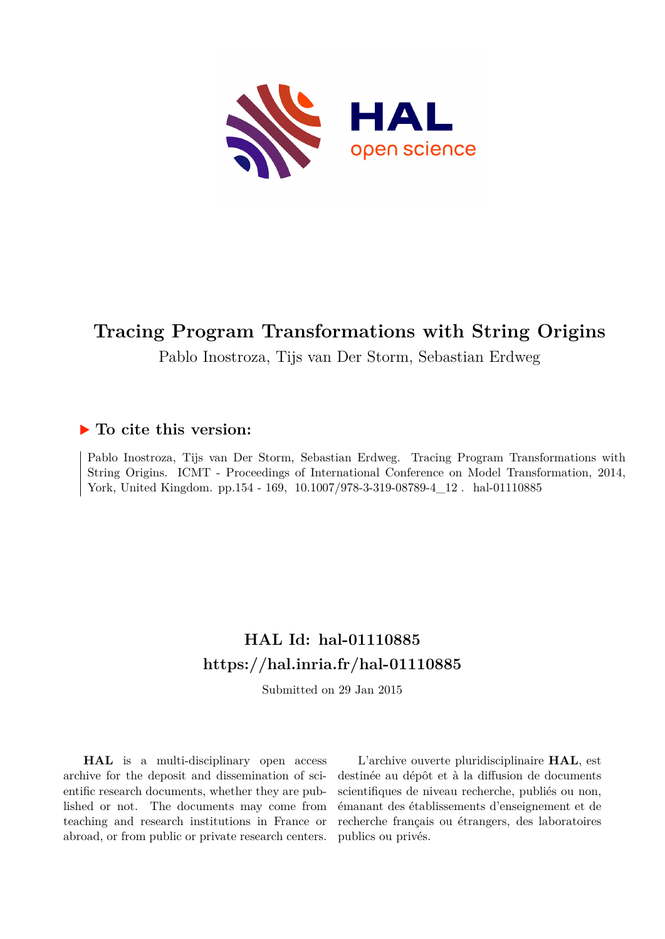

# **Tracing Program Transformations with String Origins**

Pablo Inostroza, Tijs van Der Storm, Sebastian Erdweg

# **To cite this version:**

Pablo Inostroza, Tijs van Der Storm, Sebastian Erdweg. Tracing Program Transformations with String Origins. ICMT - Proceedings of International Conference on Model Transformation, 2014, York, United Kingdom. pp.154 - 169, 10.1007/978-3-319-08789-4 12. hal-01110885

# **HAL Id: hal-01110885 <https://hal.inria.fr/hal-01110885>**

Submitted on 29 Jan 2015

**HAL** is a multi-disciplinary open access archive for the deposit and dissemination of scientific research documents, whether they are published or not. The documents may come from teaching and research institutions in France or abroad, or from public or private research centers.

L'archive ouverte pluridisciplinaire **HAL**, est destinée au dépôt et à la diffusion de documents scientifiques de niveau recherche, publiés ou non, émanant des établissements d'enseignement et de recherche français ou étrangers, des laboratoires publics ou privés.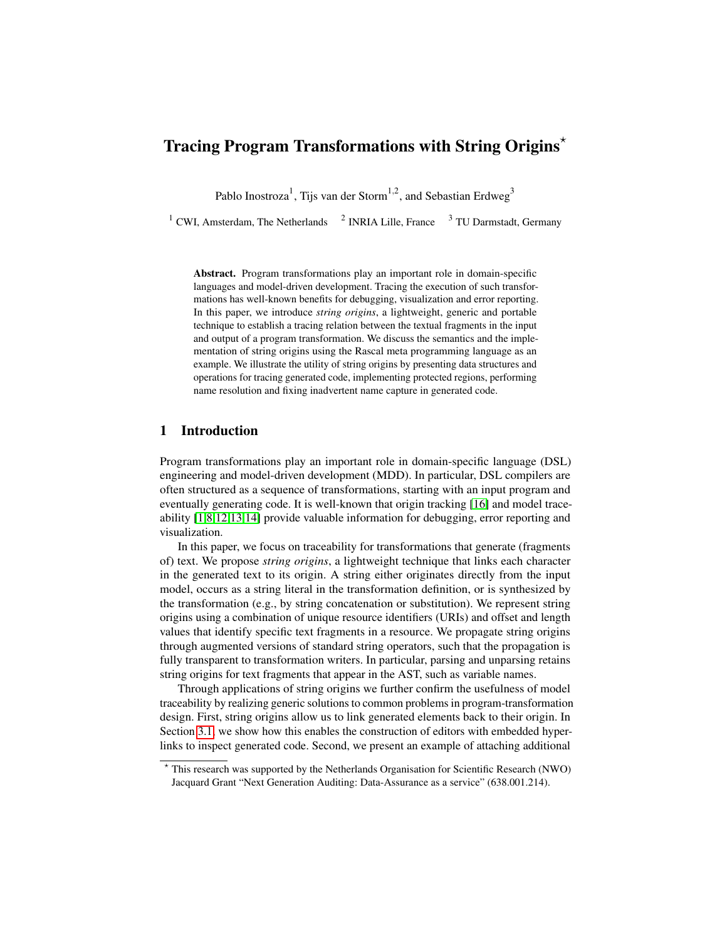# Tracing Program Transformations with String Origins<sup> $\star$ </sup>

Pablo Inostroza $^1$ , Tijs van der Storm $^{1,2}$ , and Sebastian Erdweg $^3$ 

<sup>1</sup> CWI, Amsterdam, The Netherlands  $2$  INRIA Lille, France  $3$  TU Darmstadt, Germany

Abstract. Program transformations play an important role in domain-specific languages and model-driven development. Tracing the execution of such transformations has well-known benefits for debugging, visualization and error reporting. In this paper, we introduce *string origins*, a lightweight, generic and portable technique to establish a tracing relation between the textual fragments in the input and output of a program transformation. We discuss the semantics and the implementation of string origins using the Rascal meta programming language as an example. We illustrate the utility of string origins by presenting data structures and operations for tracing generated code, implementing protected regions, performing name resolution and fixing inadvertent name capture in generated code.

## 1 Introduction

Program transformations play an important role in domain-specific language (DSL) engineering and model-driven development (MDD). In particular, DSL compilers are often structured as a sequence of transformations, starting with an input program and eventually generating code. It is well-known that origin tracking [16] and model traceability [1,8,12,13,14] provide valuable information for debugging, error reporting and visualization.

In this paper, we focus on traceability for transformations that generate (fragments of) text. We propose *string origins*, a lightweight technique that links each character in the generated text to its origin. A string either originates directly from the input model, occurs as a string literal in the transformation definition, or is synthesized by the transformation (e.g., by string concatenation or substitution). We represent string origins using a combination of unique resource identifiers (URIs) and offset and length values that identify specific text fragments in a resource. We propagate string origins through augmented versions of standard string operators, such that the propagation is fully transparent to transformation writers. In particular, parsing and unparsing retains string origins for text fragments that appear in the AST, such as variable names.

Through applications of string origins we further confirm the usefulness of model traceability by realizing generic solutions to common problems in program-transformation design. First, string origins allow us to link generated elements back to their origin. In Section 3.1, we show how this enables the construction of editors with embedded hyperlinks to inspect generated code. Second, we present an example of attaching additional

<sup>?</sup> This research was supported by the Netherlands Organisation for Scientific Research (NWO) Jacquard Grant "Next Generation Auditing: Data-Assurance as a service" (638.001.214).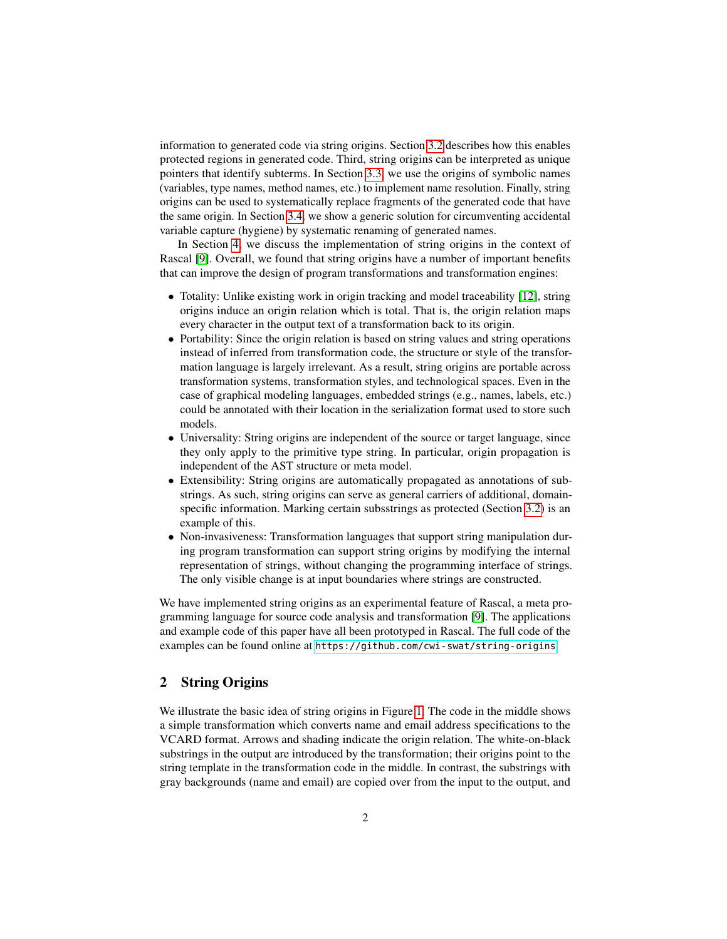information to generated code via string origins. Section 3.2 describes how this enables protected regions in generated code. Third, string origins can be interpreted as unique pointers that identify subterms. In Section 3.3, we use the origins of symbolic names (variables, type names, method names, etc.) to implement name resolution. Finally, string origins can be used to systematically replace fragments of the generated code that have the same origin. In Section 3.4, we show a generic solution for circumventing accidental variable capture (hygiene) by systematic renaming of generated names.

In Section 4, we discuss the implementation of string origins in the context of Rascal [9]. Overall, we found that string origins have a number of important benefits that can improve the design of program transformations and transformation engines:

- Totality: Unlike existing work in origin tracking and model traceability [12], string origins induce an origin relation which is total. That is, the origin relation maps every character in the output text of a transformation back to its origin.
- Portability: Since the origin relation is based on string values and string operations instead of inferred from transformation code, the structure or style of the transformation language is largely irrelevant. As a result, string origins are portable across transformation systems, transformation styles, and technological spaces. Even in the case of graphical modeling languages, embedded strings (e.g., names, labels, etc.) could be annotated with their location in the serialization format used to store such models.
- Universality: String origins are independent of the source or target language, since they only apply to the primitive type string. In particular, origin propagation is independent of the AST structure or meta model.
- Extensibility: String origins are automatically propagated as annotations of substrings. As such, string origins can serve as general carriers of additional, domainspecific information. Marking certain subsstrings as protected (Section 3.2) is an example of this.
- Non-invasiveness: Transformation languages that support string manipulation during program transformation can support string origins by modifying the internal representation of strings, without changing the programming interface of strings. The only visible change is at input boundaries where strings are constructed.

We have implemented string origins as an experimental feature of Rascal, a meta programming language for source code analysis and transformation [9]. The applications and example code of this paper have all been prototyped in Rascal. The full code of the examples can be found online at <https://github.com/cwi-swat/string-origins>.

# 2 String Origins

We illustrate the basic idea of string origins in Figure 1. The code in the middle shows a simple transformation which converts name and email address specifications to the VCARD format. Arrows and shading indicate the origin relation. The white-on-black substrings in the output are introduced by the transformation; their origins point to the string template in the transformation code in the middle. In contrast, the substrings with gray backgrounds (name and email) are copied over from the input to the output, and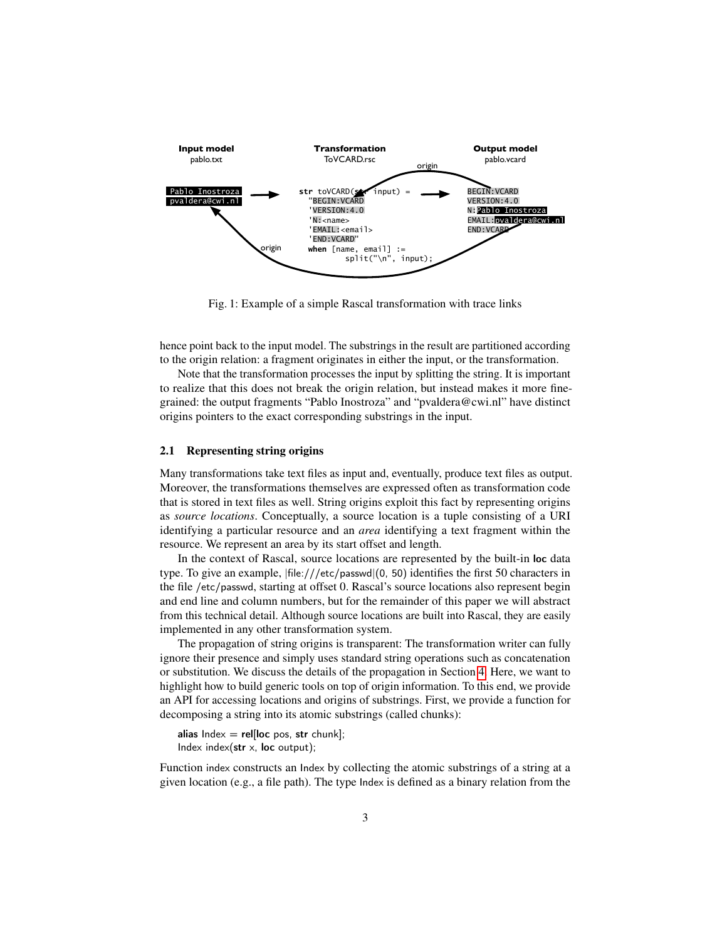

Fig. 1: Example of a simple Rascal transformation with trace links

hence point back to the input model. The substrings in the result are partitioned according to the origin relation: a fragment originates in either the input, or the transformation.

Note that the transformation processes the input by splitting the string. It is important to realize that this does not break the origin relation, but instead makes it more finegrained: the output fragments "Pablo Inostroza" and "pvaldera@cwi.nl" have distinct origins pointers to the exact corresponding substrings in the input.

#### 2.1 Representing string origins

Many transformations take text files as input and, eventually, produce text files as output. Moreover, the transformations themselves are expressed often as transformation code that is stored in text files as well. String origins exploit this fact by representing origins as *source locations*. Conceptually, a source location is a tuple consisting of a URI identifying a particular resource and an *area* identifying a text fragment within the resource. We represent an area by its start offset and length.

In the context of Rascal, source locations are represented by the built-in loc data type. To give an example, |file:///etc/passwd|(0, 50) identifies the first 50 characters in the file /etc/passwd, starting at offset 0. Rascal's source locations also represent begin and end line and column numbers, but for the remainder of this paper we will abstract from this technical detail. Although source locations are built into Rascal, they are easily implemented in any other transformation system.

The propagation of string origins is transparent: The transformation writer can fully ignore their presence and simply uses standard string operations such as concatenation or substitution. We discuss the details of the propagation in Section 4. Here, we want to highlight how to build generic tools on top of origin information. To this end, we provide an API for accessing locations and origins of substrings. First, we provide a function for decomposing a string into its atomic substrings (called chunks):

alias Index =  $rel[loc pos, str chunk];$ Index index(str  $x$ , loc output);

Function index constructs an Index by collecting the atomic substrings of a string at a given location (e.g., a file path). The type Index is defined as a binary relation from the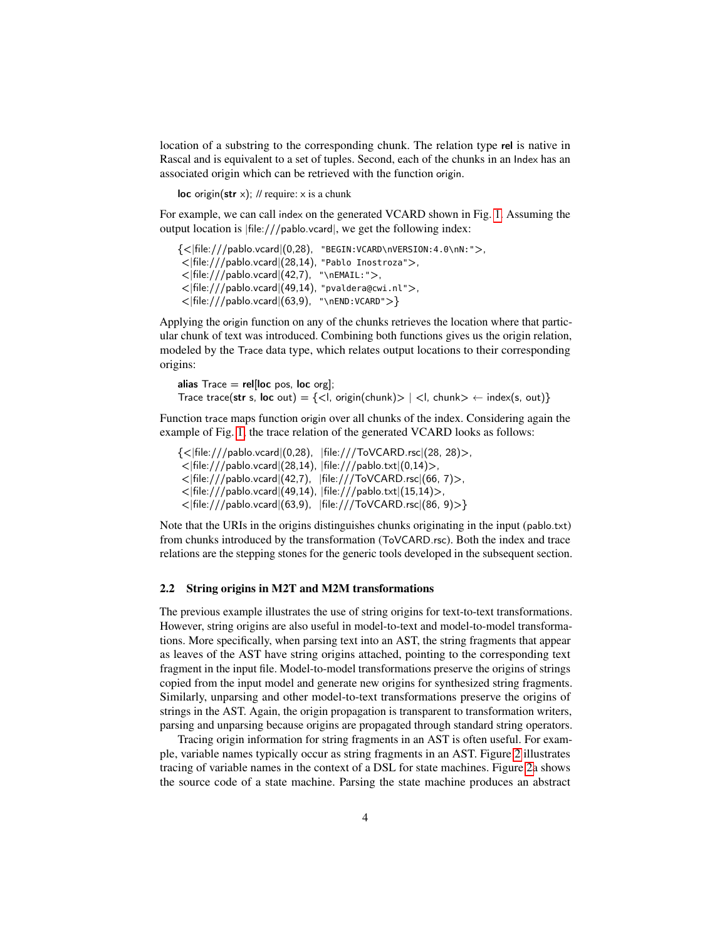location of a substring to the corresponding chunk. The relation type rel is native in Rascal and is equivalent to a set of tuples. Second, each of the chunks in an Index has an associated origin which can be retrieved with the function origin.

loc origin(str  $x$ ); // require:  $x$  is a chunk

For example, we can call index on the generated VCARD shown in Fig. 1. Assuming the output location is |file:///pablo.vcard|, we get the following index:

```
{<|file:///pablo.vcard|(0,28), "BEGIN:VCARD\nVERSION:4.0\nN:">,
  \langle |f_i| \cdot |f_i|/|p_i| / \langle |c_i| \cdot |c_i| \cdot |c_i| \cdot |c_i| \cdot |c_i| \cdot |c_i| \cdot |c_i| \cdot |c_i| \cdot |c_i| \cdot |c_i| \cdot |c_i| \cdot |c_i| \cdot |c_i| \cdot |c_i| \cdot |c_i| \cdot |c_i| \cdot |c_i| \cdot |c_i| \cdot |c_i| \cdot |c_i| \cdot |c_i| \cdot |c_i| \cdot |c_i| \cdot |c_i| \cdot |c_i| \cdot |c_i| \cdot |c_i| \cdot |c_i| \cdot |c_i| \cdot |c_i| \cdot |c_i| \cdot |c_i| \cdot |c_i|\langle |file://pablo.vcard|(42,7), "\\nEMAIL:");<|file:///pablo.vcard|(49,14), "pvaldera@cwi.nl">,
  \langle |file://pablo.vcard|(63,9), "\\nEND:VCARD" \rangle
```
Applying the origin function on any of the chunks retrieves the location where that particular chunk of text was introduced. Combining both functions gives us the origin relation, modeled by the Trace data type, which relates output locations to their corresponding origins:

```
alias Trace = rel[loc pos, loc org];Trace trace(str s, loc out) = {<l, origin(chunk)> | <l, chunk> \leftarrow index(s, out)}
```
Function trace maps function origin over all chunks of the index. Considering again the example of Fig. 1, the trace relation of the generated VCARD looks as follows:

```
\{\langle |file://pablo.vcard|(0,28), |file://ToVCARD.rsc|(28, 28)\rangle,\langle |file://pablo.vcard|(28,14), |file://pablo.txt|(0,14)\rangle,\langle |file://pablo.vcard|(42,7), |file://ToVCARD.rsc|(66, 7)\rangle,\langle |file://pablo.vcard|(49,14), |file://pablo.txt|(15,14)\rangle,\langle \frac{f_{\text{file:}}}{f_{\text{file:}}}/\rho_{\text{table.} \text{vcard}}(63, 9), \frac{f_{\text{file:}}}{f_{\text{role.} \text{vVar}}(86, 9)} \rangle
```
Note that the URIs in the origins distinguishes chunks originating in the input (pablo.txt) from chunks introduced by the transformation (ToVCARD.rsc). Both the index and trace relations are the stepping stones for the generic tools developed in the subsequent section.

#### 2.2 String origins in M2T and M2M transformations

The previous example illustrates the use of string origins for text-to-text transformations. However, string origins are also useful in model-to-text and model-to-model transformations. More specifically, when parsing text into an AST, the string fragments that appear as leaves of the AST have string origins attached, pointing to the corresponding text fragment in the input file. Model-to-model transformations preserve the origins of strings copied from the input model and generate new origins for synthesized string fragments. Similarly, unparsing and other model-to-text transformations preserve the origins of strings in the AST. Again, the origin propagation is transparent to transformation writers, parsing and unparsing because origins are propagated through standard string operators.

Tracing origin information for string fragments in an AST is often useful. For example, variable names typically occur as string fragments in an AST. Figure 2 illustrates tracing of variable names in the context of a DSL for state machines. Figure 2a shows the source code of a state machine. Parsing the state machine produces an abstract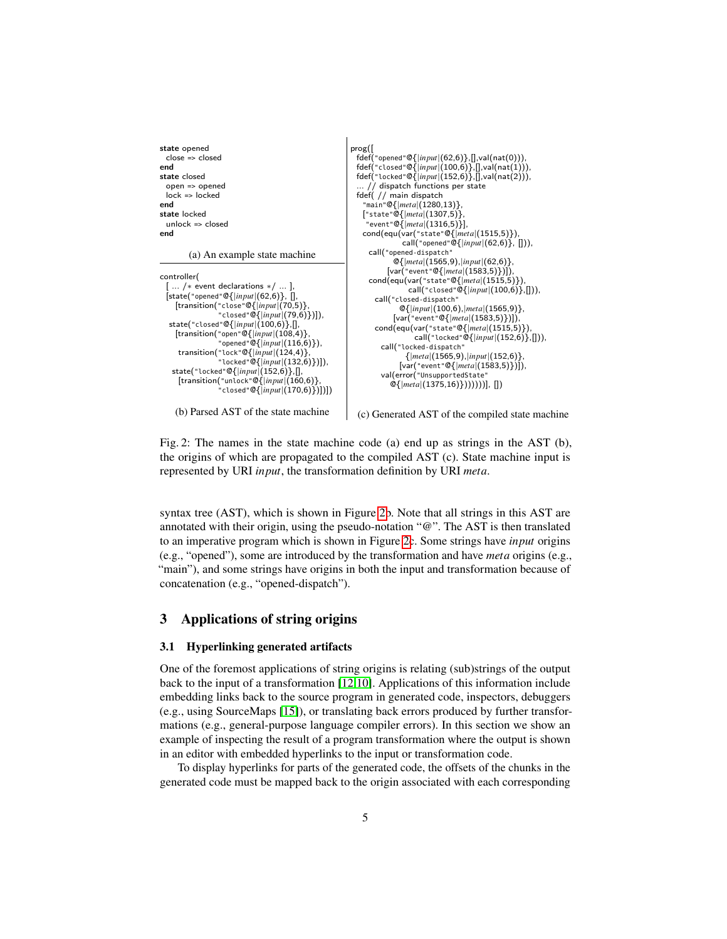

Fig. 2: The names in the state machine code (a) end up as strings in the AST (b), the origins of which are propagated to the compiled AST (c). State machine input is represented by URI *input*, the transformation definition by URI *meta*.

syntax tree (AST), which is shown in Figure 2b. Note that all strings in this AST are annotated with their origin, using the pseudo-notation "@". The AST is then translated to an imperative program which is shown in Figure 2c. Some strings have *input* origins (e.g., "opened"), some are introduced by the transformation and have *meta* origins (e.g., "main"), and some strings have origins in both the input and transformation because of concatenation (e.g., "opened-dispatch").

### 3 Applications of string origins

#### 3.1 Hyperlinking generated artifacts

One of the foremost applications of string origins is relating (sub)strings of the output back to the input of a transformation [12,10]. Applications of this information include embedding links back to the source program in generated code, inspectors, debuggers (e.g., using SourceMaps [15]), or translating back errors produced by further transformations (e.g., general-purpose language compiler errors). In this section we show an example of inspecting the result of a program transformation where the output is shown in an editor with embedded hyperlinks to the input or transformation code.

To display hyperlinks for parts of the generated code, the offsets of the chunks in the generated code must be mapped back to the origin associated with each corresponding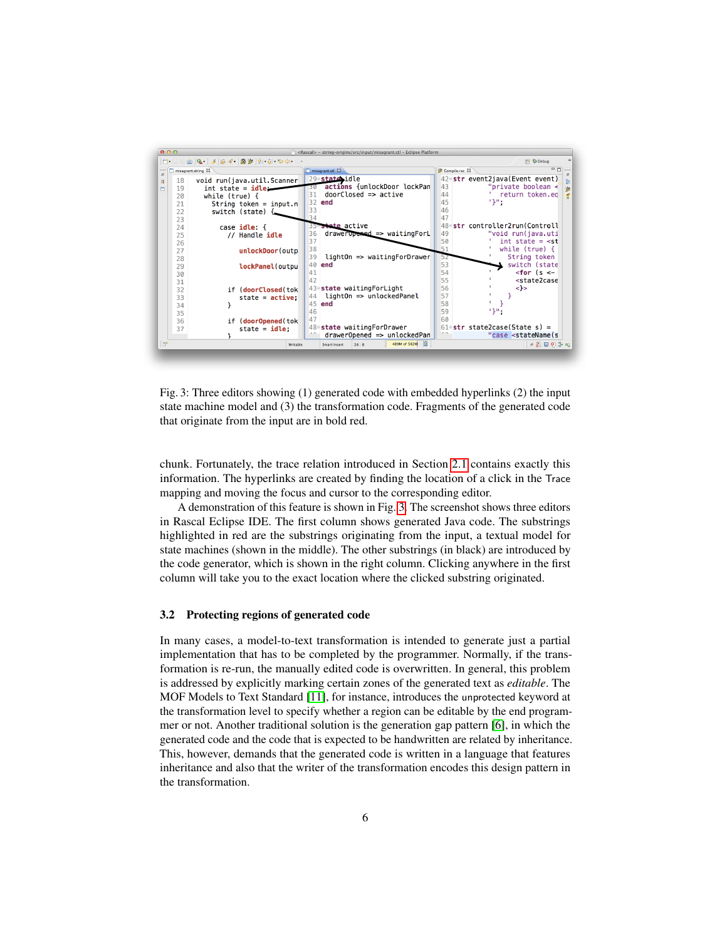| 0.00<br><rascal> - string-origins/src/input/missgrant.ctl - Eclipse Platform</rascal>                                                                                                                                                                                                                                                                                                                                                                                                                                                                                                                                                                   |                      |                                                                      |                                                                                             |                                                                                                              |  |
|---------------------------------------------------------------------------------------------------------------------------------------------------------------------------------------------------------------------------------------------------------------------------------------------------------------------------------------------------------------------------------------------------------------------------------------------------------------------------------------------------------------------------------------------------------------------------------------------------------------------------------------------------------|----------------------|----------------------------------------------------------------------|---------------------------------------------------------------------------------------------|--------------------------------------------------------------------------------------------------------------|--|
| $\textcolor{red}{\boxplus} \textcolor{red}{\textcircled{}} \textcolor{blue}{\textcircled{}} \textcolor{blue}{\textcircled{}} \textcolor{blue}{\textcircled{}} \textcolor{blue}{\textcircled{}} \textcolor{blue}{\textcircled{}} \textcolor{blue}{\textcircled{}} \textcolor{blue}{\textcircled{}} \textcolor{blue}{\textcircled{}} \textcolor{blue}{\textcircled{}} \textcolor{blue}{\textcircled{}} \textcolor{blue}{\textcircled{}} \textcolor{blue}{\textcircled{}} \textcolor{blue}{\textcircled{}} \textcolor{blue}{\textcircled{}} \textcolor{blue}{\textcircled{}} \textcolor{blue}{\textcircled{}} \textcolor{blue}{$<br><b>丘 称Debug</b><br>E9- |                      |                                                                      |                                                                                             |                                                                                                              |  |
| B                                                                                                                                                                                                                                                                                                                                                                                                                                                                                                                                                                                                                                                       |                      | missgrant.string &                                                   | missgrant.ctl &                                                                             | <b>PR</b><br>Compile.rsc 23<br>B                                                                             |  |
| 博                                                                                                                                                                                                                                                                                                                                                                                                                                                                                                                                                                                                                                                       | 18<br>19<br>20       | void run(java.util.Scanner<br>$int state = idle$<br>while $(true)$ { | 29 state idle<br>actions {unlockDoor lockPan<br>30<br>$doorClosed \Rightarrow active$<br>31 | 42 str event2java(Event event)<br>멽<br>"private boolean <<br>43<br>寥<br>return token.ed<br>44<br>贯           |  |
|                                                                                                                                                                                                                                                                                                                                                                                                                                                                                                                                                                                                                                                         | 21<br>22<br>23       | String token = input.n<br>switch (state) $\{\_$                      | 32<br>end<br>33<br>34                                                                       | 139 E<br>45<br>46<br>47<br>48 str controller2run(Controll                                                    |  |
|                                                                                                                                                                                                                                                                                                                                                                                                                                                                                                                                                                                                                                                         | 24<br>25<br>26       | case $idle: f$<br>// Handle idle                                     | state active<br>35<br>36<br>drawer opened => waitingForL<br>37<br>38                        | 49<br>"void run(java.uti<br>$int state = st$<br>50<br>while $(true)$ {<br>51                                 |  |
|                                                                                                                                                                                                                                                                                                                                                                                                                                                                                                                                                                                                                                                         | 27<br>28<br>29<br>30 | unlockDoor(outp<br>lockPanel(outpu                                   | 39<br>lightOn => waitingForDrawer<br>40<br>end<br>41                                        | String token<br>5Z<br>53<br>switch (state)<br>54<br>$-$ -for (s $\le$                                        |  |
|                                                                                                                                                                                                                                                                                                                                                                                                                                                                                                                                                                                                                                                         | 31<br>32<br>33<br>34 | if (doorClosed(tok)<br>$state = active:$                             | 42<br>43 <sup>e</sup> state waitingForLight<br>lightOn => unlockedPanel<br>44<br>45<br>end  | 55<br><state2case<br>56<br/><math>\left\{\right\}</math><br/>57<br/>58</state2case<br>                       |  |
|                                                                                                                                                                                                                                                                                                                                                                                                                                                                                                                                                                                                                                                         | 35<br>36<br>37       | if (doorOpened(tok<br>$state = idle;$                                | 46<br>47<br>48 state waiting For Drawer<br>drawerOpened => unlockedPan                      | : יצי<br>59<br>60<br>$61$ str state2case(State s) =<br>$\sim$<br>"case <statename(s)< th=""></statename(s)<> |  |
| $\mathbb{D}^{\circ}$                                                                                                                                                                                                                                                                                                                                                                                                                                                                                                                                                                                                                                    |                      | Writable                                                             | 489M of 582M 面<br>26:8<br><b>Smart Insert</b>                                               | 日記 日の路場                                                                                                      |  |
|                                                                                                                                                                                                                                                                                                                                                                                                                                                                                                                                                                                                                                                         |                      |                                                                      |                                                                                             |                                                                                                              |  |

Fig. 3: Three editors showing (1) generated code with embedded hyperlinks (2) the input state machine model and (3) the transformation code. Fragments of the generated code that originate from the input are in bold red.

chunk. Fortunately, the trace relation introduced in Section 2.1 contains exactly this information. The hyperlinks are created by finding the location of a click in the Trace mapping and moving the focus and cursor to the corresponding editor.

A demonstration of this feature is shown in Fig. 3. The screenshot shows three editors in Rascal Eclipse IDE. The first column shows generated Java code. The substrings highlighted in red are the substrings originating from the input, a textual model for state machines (shown in the middle). The other substrings (in black) are introduced by the code generator, which is shown in the right column. Clicking anywhere in the first column will take you to the exact location where the clicked substring originated.

#### 3.2 Protecting regions of generated code

In many cases, a model-to-text transformation is intended to generate just a partial implementation that has to be completed by the programmer. Normally, if the transformation is re-run, the manually edited code is overwritten. In general, this problem is addressed by explicitly marking certain zones of the generated text as *editable*. The MOF Models to Text Standard [11], for instance, introduces the unprotected keyword at the transformation level to specify whether a region can be editable by the end programmer or not. Another traditional solution is the generation gap pattern [6], in which the generated code and the code that is expected to be handwritten are related by inheritance. This, however, demands that the generated code is written in a language that features inheritance and also that the writer of the transformation encodes this design pattern in the transformation.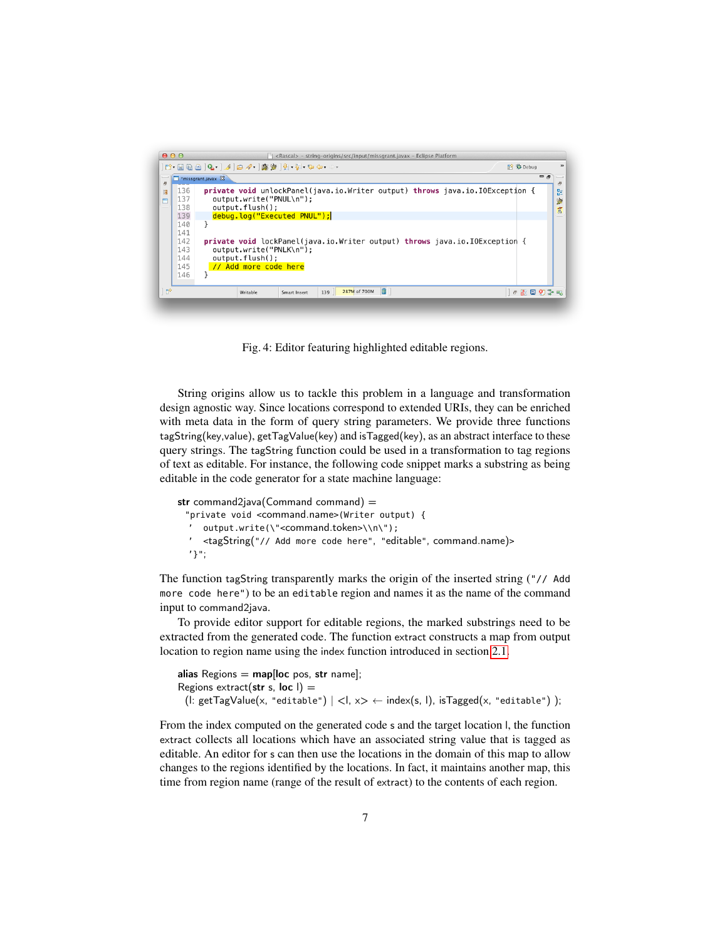

Fig. 4: Editor featuring highlighted editable regions.

String origins allow us to tackle this problem in a language and transformation design agnostic way. Since locations correspond to extended URIs, they can be enriched with meta data in the form of query string parameters. We provide three functions tagString(key,value), getTagValue(key) and isTagged(key), as an abstract interface to these query strings. The tagString function could be used in a transformation to tag regions of text as editable. For instance, the following code snippet marks a substring as being editable in the code generator for a state machine language:

```
str command2java(Command command) =
 "private void <command.name>(Writer output) {
    output.write(\"<command.token>\\n\");
  ' <tagString("// Add more code here", "editable", command.name)>
  '}";
```
The function tagString transparently marks the origin of the inserted string ("// Add more code here") to be an editable region and names it as the name of the command input to command2java.

To provide editor support for editable regions, the marked substrings need to be extracted from the generated code. The function extract constructs a map from output location to region name using the index function introduced in section 2.1.

```
alias Regions = map[loc pos, str name];
Regions extract(str s, loc l) =
 (l: getTagValue(x, "editable") | <l, x> \leftarrow index(s, l), isTagged(x, "editable") );
```
From the index computed on the generated code s and the target location l, the function extract collects all locations which have an associated string value that is tagged as editable. An editor for s can then use the locations in the domain of this map to allow changes to the regions identified by the locations. In fact, it maintains another map, this time from region name (range of the result of extract) to the contents of each region.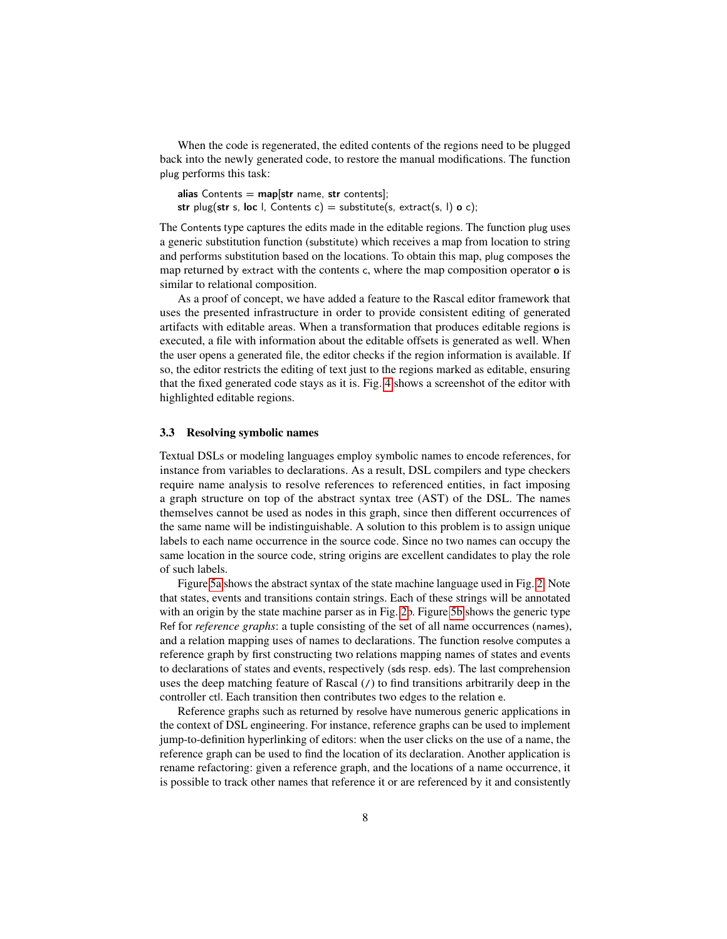When the code is regenerated, the edited contents of the regions need to be plugged back into the newly generated code, to restore the manual modifications. The function plug performs this task:

alias Contents =  $map[str \ name, str \ contents]$ ; str plug(str s, loc l, Contents c) = substitute(s, extract(s, l)  $\alpha$  c);

The Contents type captures the edits made in the editable regions. The function plug uses a generic substitution function (substitute) which receives a map from location to string and performs substitution based on the locations. To obtain this map, plug composes the map returned by extract with the contents c, where the map composition operator o is similar to relational composition.

As a proof of concept, we have added a feature to the Rascal editor framework that uses the presented infrastructure in order to provide consistent editing of generated artifacts with editable areas. When a transformation that produces editable regions is executed, a file with information about the editable offsets is generated as well. When the user opens a generated file, the editor checks if the region information is available. If so, the editor restricts the editing of text just to the regions marked as editable, ensuring that the fixed generated code stays as it is. Fig. 4 shows a screenshot of the editor with highlighted editable regions.

#### 3.3 Resolving symbolic names

Textual DSLs or modeling languages employ symbolic names to encode references, for instance from variables to declarations. As a result, DSL compilers and type checkers require name analysis to resolve references to referenced entities, in fact imposing a graph structure on top of the abstract syntax tree (AST) of the DSL. The names themselves cannot be used as nodes in this graph, since then different occurrences of the same name will be indistinguishable. A solution to this problem is to assign unique labels to each name occurrence in the source code. Since no two names can occupy the same location in the source code, string origins are excellent candidates to play the role of such labels.

Figure 5a shows the abstract syntax of the state machine language used in Fig. 2. Note that states, events and transitions contain strings. Each of these strings will be annotated with an origin by the state machine parser as in Fig. 2b. Figure 5b shows the generic type Ref for *reference graphs*: a tuple consisting of the set of all name occurrences (names), and a relation mapping uses of names to declarations. The function resolve computes a reference graph by first constructing two relations mapping names of states and events to declarations of states and events, respectively (sds resp. eds). The last comprehension uses the deep matching feature of Rascal (/) to find transitions arbitrarily deep in the controller ctl. Each transition then contributes two edges to the relation e.

Reference graphs such as returned by resolve have numerous generic applications in the context of DSL engineering. For instance, reference graphs can be used to implement jump-to-definition hyperlinking of editors: when the user clicks on the use of a name, the reference graph can be used to find the location of its declaration. Another application is rename refactoring: given a reference graph, and the locations of a name occurrence, it is possible to track other names that reference it or are referenced by it and consistently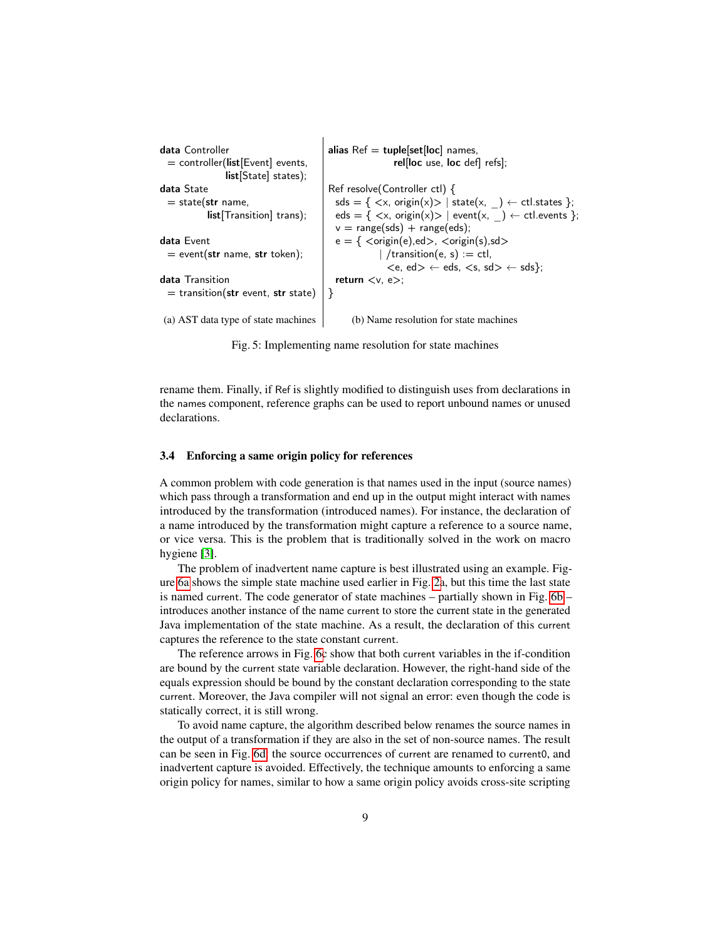| data Controller                      | alias $\text{Ref} = \text{tuple}[\text{set}[\text{loc}]$ names,                      |
|--------------------------------------|--------------------------------------------------------------------------------------|
| $=$ controller(list[Event] events,   | $rel[loc use, loc def]$ refs];                                                       |
| list[State] states);                 |                                                                                      |
| data State                           | Ref resolve(Controller ctl) {                                                        |
| $=$ state(str name,                  | $sds = \{ \langle x, origin(x) \rangle \mid state(x, \ ) \leftarrow ctl. states \};$ |
| $list[Transform]$ transition         | $eds = \{ \langle x, origin(x) \rangle \mid event(x, \ ) \leftarrow ct \text{.}$     |
|                                      | $v = range(sds) + range(eds);$                                                       |
| data Event                           | $e = \{$ < origin(e), ed >, < origin(s), sd >                                        |
| $=$ event(str name, str token);      | /transition(e, s) := ctl,                                                            |
|                                      | $\langle e, ed \rangle \leftarrow eds, \langle s, sd \rangle \leftarrow sds};$       |
| data Transition                      | return $\langle v, e \rangle$ :                                                      |
| $=$ transition(str event, str state) |                                                                                      |
|                                      |                                                                                      |
| (a) AST data type of state machines  | (b) Name resolution for state machines                                               |

 $\overline{1}$ 

Fig. 5: Implementing name resolution for state machines

rename them. Finally, if Ref is slightly modified to distinguish uses from declarations in the names component, reference graphs can be used to report unbound names or unused declarations.

#### 3.4 Enforcing a same origin policy for references

A common problem with code generation is that names used in the input (source names) which pass through a transformation and end up in the output might interact with names introduced by the transformation (introduced names). For instance, the declaration of a name introduced by the transformation might capture a reference to a source name, or vice versa. This is the problem that is traditionally solved in the work on macro hygiene [3].

The problem of inadvertent name capture is best illustrated using an example. Figure 6a shows the simple state machine used earlier in Fig. 2a, but this time the last state is named current. The code generator of state machines – partially shown in Fig. 6b – introduces another instance of the name current to store the current state in the generated Java implementation of the state machine. As a result, the declaration of this current captures the reference to the state constant current.

The reference arrows in Fig. 6c show that both current variables in the if-condition are bound by the current state variable declaration. However, the right-hand side of the equals expression should be bound by the constant declaration corresponding to the state current. Moreover, the Java compiler will not signal an error: even though the code is statically correct, it is still wrong.

To avoid name capture, the algorithm described below renames the source names in the output of a transformation if they are also in the set of non-source names. The result can be seen in Fig. 6d: the source occurrences of current are renamed to current0, and inadvertent capture is avoided. Effectively, the technique amounts to enforcing a same origin policy for names, similar to how a same origin policy avoids cross-site scripting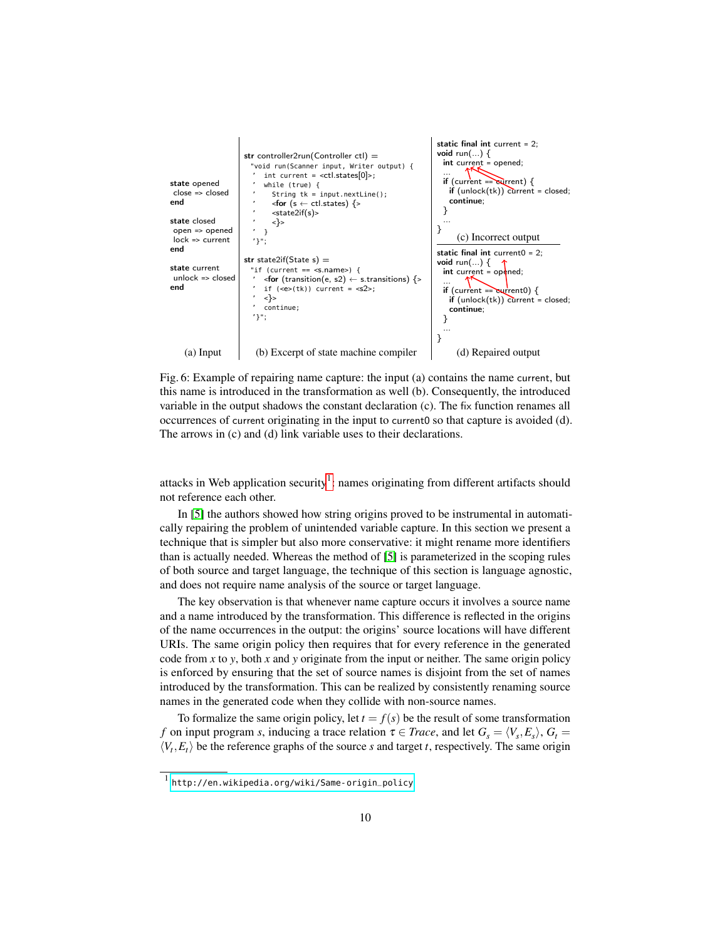

Fig. 6: Example of repairing name capture: the input (a) contains the name current, but this name is introduced in the transformation as well (b). Consequently, the introduced variable in the output shadows the constant declaration (c). The fix function renames all occurrences of current originating in the input to current0 so that capture is avoided (d). The arrows in (c) and (d) link variable uses to their declarations.

attacks in Web application security $^1$ : names originating from different artifacts should not reference each other.

In [5] the authors showed how string origins proved to be instrumental in automatically repairing the problem of unintended variable capture. In this section we present a technique that is simpler but also more conservative: it might rename more identifiers than is actually needed. Whereas the method of [5] is parameterized in the scoping rules of both source and target language, the technique of this section is language agnostic, and does not require name analysis of the source or target language.

The key observation is that whenever name capture occurs it involves a source name and a name introduced by the transformation. This difference is reflected in the origins of the name occurrences in the output: the origins' source locations will have different URIs. The same origin policy then requires that for every reference in the generated code from *x* to *y*, both *x* and *y* originate from the input or neither. The same origin policy is enforced by ensuring that the set of source names is disjoint from the set of names introduced by the transformation. This can be realized by consistently renaming source names in the generated code when they collide with non-source names.

To formalize the same origin policy, let  $t = f(s)$  be the result of some transformation *f* on input program *s*, inducing a trace relation  $\tau \in Trace$ , and let  $G_s = \langle V_s, E_s \rangle$ ,  $G_t =$  $\langle V_t, E_t \rangle$  be the reference graphs of the source *s* and target *t*, respectively. The same origin

 $^{\rm 1}$  [http://en.wikipedia.org/wiki/Same-origin\\_policy](http://en.wikipedia.org/wiki/Same-origin_policy)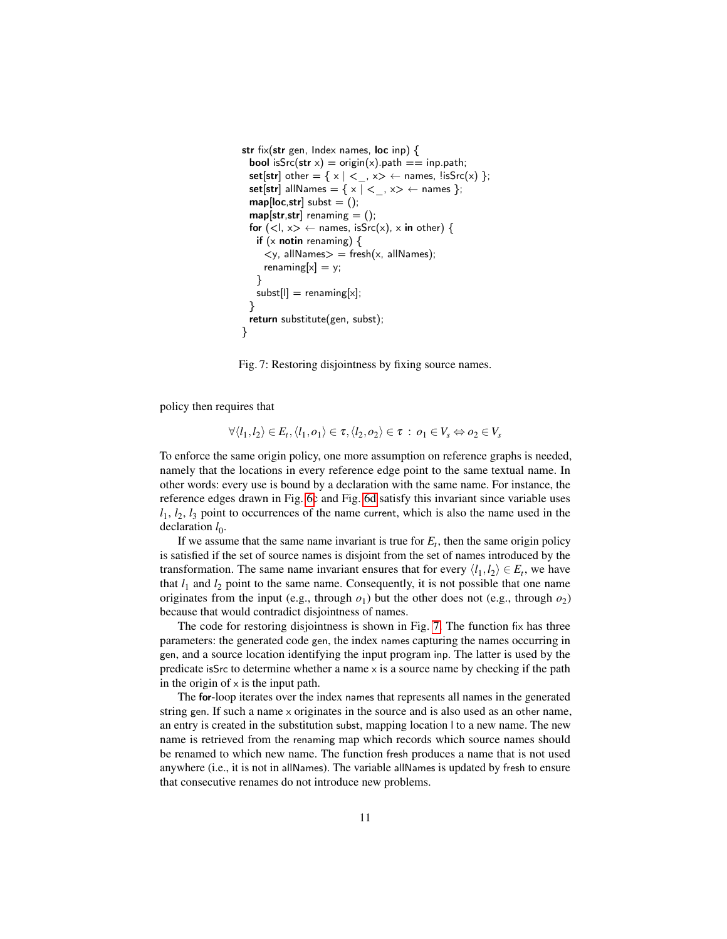```
str fix(str gen, Index names, loc inp) {
 bool isSrc(str x) = origin(x).path == inp.path;
 set[str] other = { x \mid \lt_{\_} x \gt \lt \neq names, !isSrc(x) };
 set[str] allNames = {x \mid \leq , x \geq \lt names };
 map[loc,str] subst = ();
 map[str, str] renaming = ();
 for (<l, x> \leftarrow names, isSrc(x), x in other) {
   if (x \text{ notin renaming}) {
     <y, allNames> = fresh(x, allNames);
     renaming[x] = y;
   }
   subst[1] = remaining[x];}
 return substitute(gen, subst);
}
```
Fig. 7: Restoring disjointness by fixing source names.

policy then requires that

$$
\forall \langle l_1, l_2 \rangle \in E_t, \langle l_1, o_1 \rangle \in \tau, \langle l_2, o_2 \rangle \in \tau : o_1 \in V_s \Leftrightarrow o_2 \in V_s
$$

To enforce the same origin policy, one more assumption on reference graphs is needed, namely that the locations in every reference edge point to the same textual name. In other words: every use is bound by a declaration with the same name. For instance, the reference edges drawn in Fig. 6c and Fig. 6d satisfy this invariant since variable uses  $l_1$ ,  $l_2$ ,  $l_3$  point to occurrences of the name current, which is also the name used in the  $declaration$   $l_0$ .

If we assume that the same name invariant is true for  $E_t$ , then the same origin policy is satisfied if the set of source names is disjoint from the set of names introduced by the transformation. The same name invariant ensures that for every  $\langle l_1, l_2 \rangle \in E_t$ , we have that  $l_1$  and  $l_2$  point to the same name. Consequently, it is not possible that one name originates from the input (e.g., through  $o_1$ ) but the other does not (e.g., through  $o_2$ ) because that would contradict disjointness of names.

The code for restoring disjointness is shown in Fig. 7. The function fix has three parameters: the generated code gen, the index names capturing the names occurring in gen, and a source location identifying the input program inp. The latter is used by the predicate is Src to determine whether a name  $\times$  is a source name by checking if the path in the origin of  $\times$  is the input path.

The for-loop iterates over the index names that represents all names in the generated string gen. If such a name x originates in the source and is also used as an other name, an entry is created in the substitution subst, mapping location l to a new name. The new name is retrieved from the renaming map which records which source names should be renamed to which new name. The function fresh produces a name that is not used anywhere (i.e., it is not in allNames). The variable allNames is updated by fresh to ensure that consecutive renames do not introduce new problems.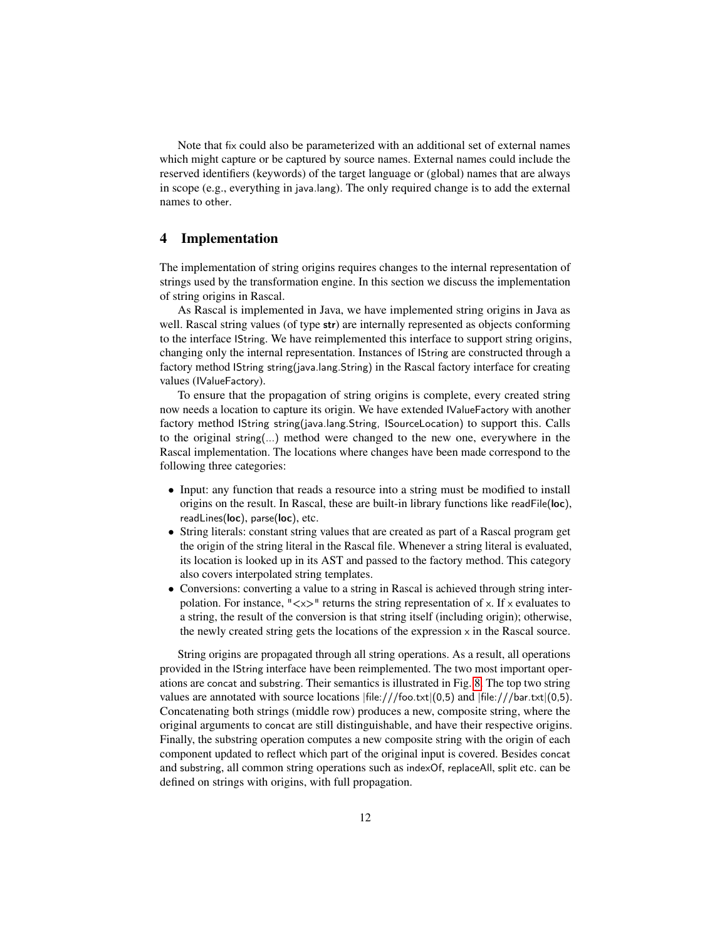Note that fix could also be parameterized with an additional set of external names which might capture or be captured by source names. External names could include the reserved identifiers (keywords) of the target language or (global) names that are always in scope (e.g., everything in java.lang). The only required change is to add the external names to other.

## 4 Implementation

The implementation of string origins requires changes to the internal representation of strings used by the transformation engine. In this section we discuss the implementation of string origins in Rascal.

As Rascal is implemented in Java, we have implemented string origins in Java as well. Rascal string values (of type str) are internally represented as objects conforming to the interface IString. We have reimplemented this interface to support string origins, changing only the internal representation. Instances of IString are constructed through a factory method IString string(java.lang.String) in the Rascal factory interface for creating values (IValueFactory).

To ensure that the propagation of string origins is complete, every created string now needs a location to capture its origin. We have extended IValueFactory with another factory method IString string(java.lang.String, ISourceLocation) to support this. Calls to the original string(...) method were changed to the new one, everywhere in the Rascal implementation. The locations where changes have been made correspond to the following three categories:

- Input: any function that reads a resource into a string must be modified to install origins on the result. In Rascal, these are built-in library functions like readFile(loc), readLines(loc), parse(loc), etc.
- String literals: constant string values that are created as part of a Rascal program get the origin of the string literal in the Rascal file. Whenever a string literal is evaluated, its location is looked up in its AST and passed to the factory method. This category also covers interpolated string templates.
- Conversions: converting a value to a string in Rascal is achieved through string interpolation. For instance, " $\langle x \rangle$ " returns the string representation of x. If x evaluates to a string, the result of the conversion is that string itself (including origin); otherwise, the newly created string gets the locations of the expression  $\times$  in the Rascal source.

String origins are propagated through all string operations. As a result, all operations provided in the IString interface have been reimplemented. The two most important operations are concat and substring. Their semantics is illustrated in Fig. 8. The top two string values are annotated with source locations  $|file://foo.txt|(0,5)$  and  $|file://bar.txt|(0,5)$ . Concatenating both strings (middle row) produces a new, composite string, where the original arguments to concat are still distinguishable, and have their respective origins. Finally, the substring operation computes a new composite string with the origin of each component updated to reflect which part of the original input is covered. Besides concat and substring, all common string operations such as indexOf, replaceAll, split etc. can be defined on strings with origins, with full propagation.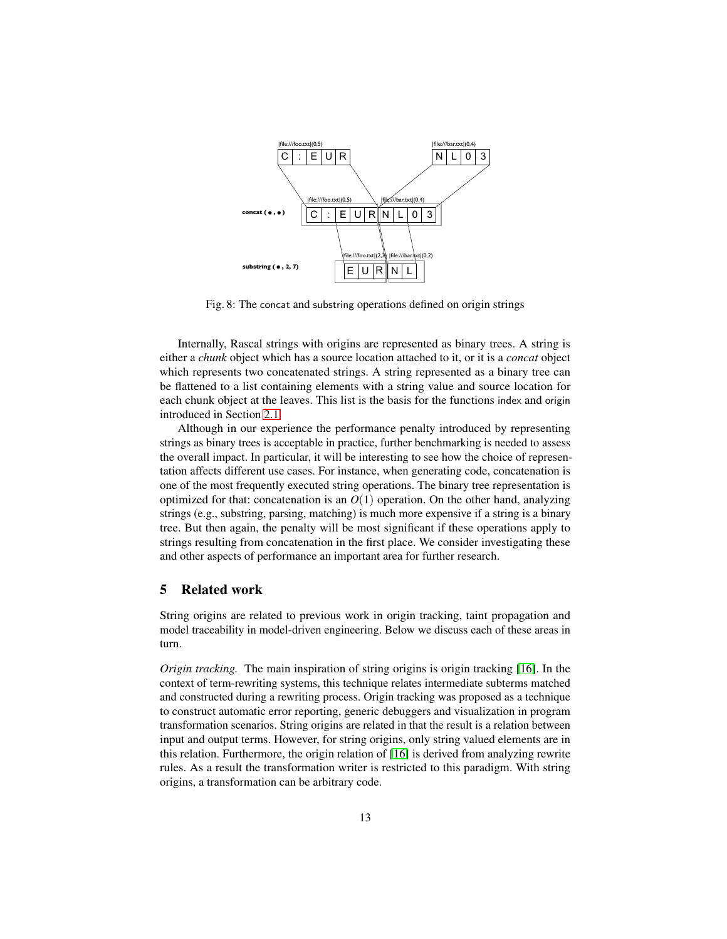

Fig. 8: The concat and substring operations defined on origin strings

Internally, Rascal strings with origins are represented as binary trees. A string is either a *chunk* object which has a source location attached to it, or it is a *concat* object which represents two concatenated strings. A string represented as a binary tree can be flattened to a list containing elements with a string value and source location for each chunk object at the leaves. This list is the basis for the functions index and origin introduced in Section 2.1.

Although in our experience the performance penalty introduced by representing strings as binary trees is acceptable in practice, further benchmarking is needed to assess the overall impact. In particular, it will be interesting to see how the choice of representation affects different use cases. For instance, when generating code, concatenation is one of the most frequently executed string operations. The binary tree representation is optimized for that: concatenation is an  $O(1)$  operation. On the other hand, analyzing strings (e.g., substring, parsing, matching) is much more expensive if a string is a binary tree. But then again, the penalty will be most significant if these operations apply to strings resulting from concatenation in the first place. We consider investigating these and other aspects of performance an important area for further research.

# 5 Related work

String origins are related to previous work in origin tracking, taint propagation and model traceability in model-driven engineering. Below we discuss each of these areas in turn.

*Origin tracking.* The main inspiration of string origins is origin tracking [16]. In the context of term-rewriting systems, this technique relates intermediate subterms matched and constructed during a rewriting process. Origin tracking was proposed as a technique to construct automatic error reporting, generic debuggers and visualization in program transformation scenarios. String origins are related in that the result is a relation between input and output terms. However, for string origins, only string valued elements are in this relation. Furthermore, the origin relation of [16] is derived from analyzing rewrite rules. As a result the transformation writer is restricted to this paradigm. With string origins, a transformation can be arbitrary code.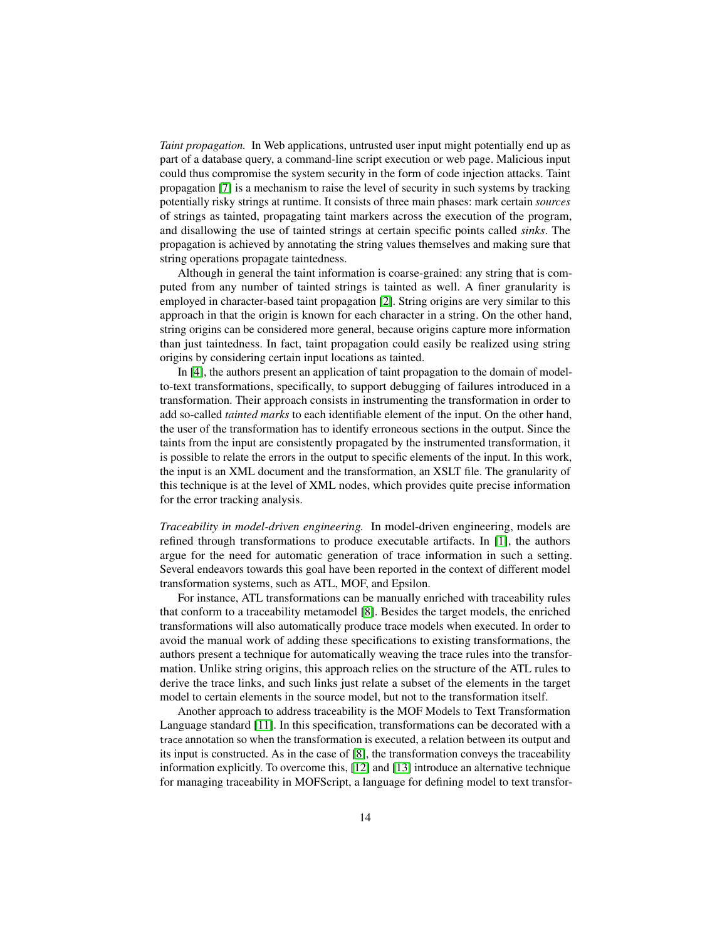*Taint propagation.* In Web applications, untrusted user input might potentially end up as part of a database query, a command-line script execution or web page. Malicious input could thus compromise the system security in the form of code injection attacks. Taint propagation [7] is a mechanism to raise the level of security in such systems by tracking potentially risky strings at runtime. It consists of three main phases: mark certain *sources* of strings as tainted, propagating taint markers across the execution of the program, and disallowing the use of tainted strings at certain specific points called *sinks*. The propagation is achieved by annotating the string values themselves and making sure that string operations propagate taintedness.

Although in general the taint information is coarse-grained: any string that is computed from any number of tainted strings is tainted as well. A finer granularity is employed in character-based taint propagation [2]. String origins are very similar to this approach in that the origin is known for each character in a string. On the other hand, string origins can be considered more general, because origins capture more information than just taintedness. In fact, taint propagation could easily be realized using string origins by considering certain input locations as tainted.

In [4], the authors present an application of taint propagation to the domain of modelto-text transformations, specifically, to support debugging of failures introduced in a transformation. Their approach consists in instrumenting the transformation in order to add so-called *tainted marks* to each identifiable element of the input. On the other hand, the user of the transformation has to identify erroneous sections in the output. Since the taints from the input are consistently propagated by the instrumented transformation, it is possible to relate the errors in the output to specific elements of the input. In this work, the input is an XML document and the transformation, an XSLT file. The granularity of this technique is at the level of XML nodes, which provides quite precise information for the error tracking analysis.

*Traceability in model-driven engineering.* In model-driven engineering, models are refined through transformations to produce executable artifacts. In [1], the authors argue for the need for automatic generation of trace information in such a setting. Several endeavors towards this goal have been reported in the context of different model transformation systems, such as ATL, MOF, and Epsilon.

For instance, ATL transformations can be manually enriched with traceability rules that conform to a traceability metamodel [8]. Besides the target models, the enriched transformations will also automatically produce trace models when executed. In order to avoid the manual work of adding these specifications to existing transformations, the authors present a technique for automatically weaving the trace rules into the transformation. Unlike string origins, this approach relies on the structure of the ATL rules to derive the trace links, and such links just relate a subset of the elements in the target model to certain elements in the source model, but not to the transformation itself.

Another approach to address traceability is the MOF Models to Text Transformation Language standard [11]. In this specification, transformations can be decorated with a trace annotation so when the transformation is executed, a relation between its output and its input is constructed. As in the case of [8], the transformation conveys the traceability information explicitly. To overcome this, [12] and [13] introduce an alternative technique for managing traceability in MOFScript, a language for defining model to text transfor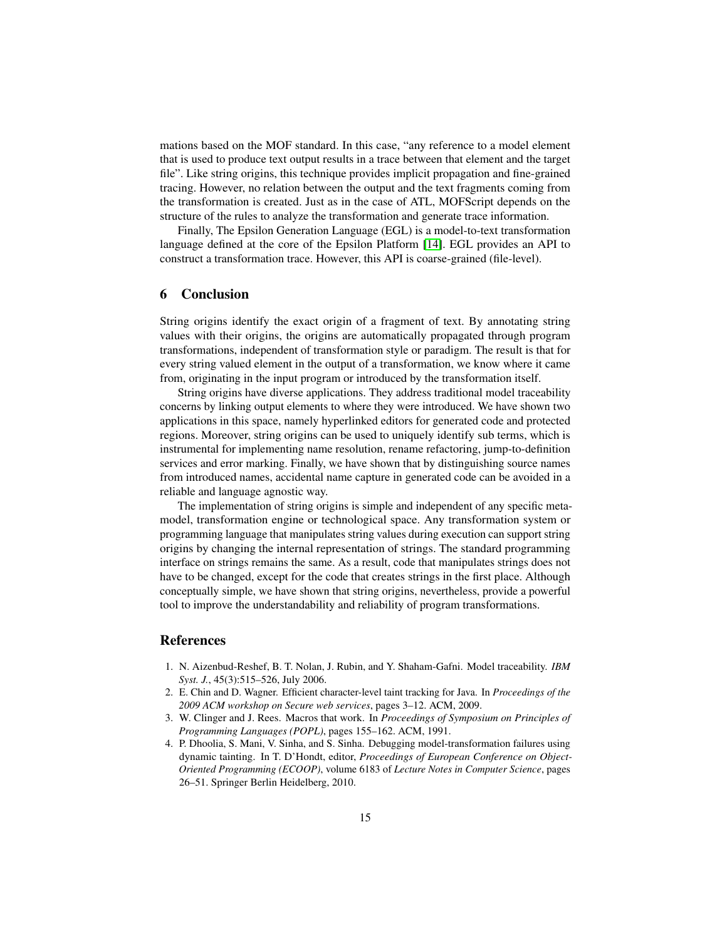mations based on the MOF standard. In this case, "any reference to a model element that is used to produce text output results in a trace between that element and the target file". Like string origins, this technique provides implicit propagation and fine-grained tracing. However, no relation between the output and the text fragments coming from the transformation is created. Just as in the case of ATL, MOFScript depends on the structure of the rules to analyze the transformation and generate trace information.

Finally, The Epsilon Generation Language (EGL) is a model-to-text transformation language defined at the core of the Epsilon Platform [14]. EGL provides an API to construct a transformation trace. However, this API is coarse-grained (file-level).

#### 6 Conclusion

String origins identify the exact origin of a fragment of text. By annotating string values with their origins, the origins are automatically propagated through program transformations, independent of transformation style or paradigm. The result is that for every string valued element in the output of a transformation, we know where it came from, originating in the input program or introduced by the transformation itself.

String origins have diverse applications. They address traditional model traceability concerns by linking output elements to where they were introduced. We have shown two applications in this space, namely hyperlinked editors for generated code and protected regions. Moreover, string origins can be used to uniquely identify sub terms, which is instrumental for implementing name resolution, rename refactoring, jump-to-definition services and error marking. Finally, we have shown that by distinguishing source names from introduced names, accidental name capture in generated code can be avoided in a reliable and language agnostic way.

The implementation of string origins is simple and independent of any specific metamodel, transformation engine or technological space. Any transformation system or programming language that manipulates string values during execution can support string origins by changing the internal representation of strings. The standard programming interface on strings remains the same. As a result, code that manipulates strings does not have to be changed, except for the code that creates strings in the first place. Although conceptually simple, we have shown that string origins, nevertheless, provide a powerful tool to improve the understandability and reliability of program transformations.

## References

- 1. N. Aizenbud-Reshef, B. T. Nolan, J. Rubin, and Y. Shaham-Gafni. Model traceability. *IBM Syst. J.*, 45(3):515–526, July 2006.
- 2. E. Chin and D. Wagner. Efficient character-level taint tracking for Java. In *Proceedings of the 2009 ACM workshop on Secure web services*, pages 3–12. ACM, 2009.
- 3. W. Clinger and J. Rees. Macros that work. In *Proceedings of Symposium on Principles of Programming Languages (POPL)*, pages 155–162. ACM, 1991.
- 4. P. Dhoolia, S. Mani, V. Sinha, and S. Sinha. Debugging model-transformation failures using dynamic tainting. In T. D'Hondt, editor, *Proceedings of European Conference on Object-Oriented Programming (ECOOP)*, volume 6183 of *Lecture Notes in Computer Science*, pages 26–51. Springer Berlin Heidelberg, 2010.